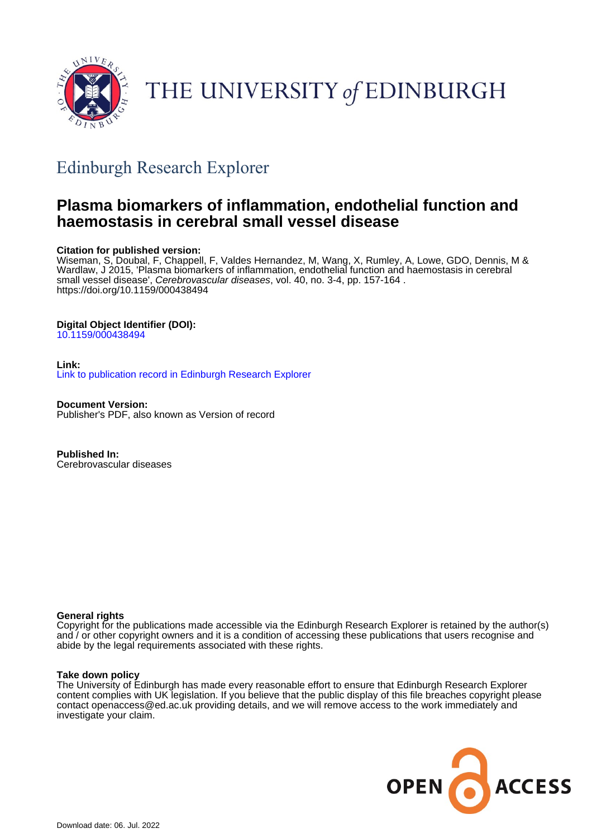

# THE UNIVERSITY of EDINBURGH

## Edinburgh Research Explorer

## **Plasma biomarkers of inflammation, endothelial function and haemostasis in cerebral small vessel disease**

## **Citation for published version:**

Wiseman, S, Doubal, F, Chappell, F, Valdes Hernandez, M, Wang, X, Rumley, A, Lowe, GDO, Dennis, M & Wardlaw, J 2015, 'Plasma biomarkers of inflammation, endothelial function and haemostasis in cerebral small vessel disease', Cerebrovascular diseases, vol. 40, no. 3-4, pp. 157-164. <https://doi.org/10.1159/000438494>

## **Digital Object Identifier (DOI):**

[10.1159/000438494](https://doi.org/10.1159/000438494)

#### **Link:** [Link to publication record in Edinburgh Research Explorer](https://www.research.ed.ac.uk/en/publications/7a18287f-7118-434f-80e0-f401ff03074d)

**Document Version:** Publisher's PDF, also known as Version of record

**Published In:** Cerebrovascular diseases

### **General rights**

Copyright for the publications made accessible via the Edinburgh Research Explorer is retained by the author(s) and / or other copyright owners and it is a condition of accessing these publications that users recognise and abide by the legal requirements associated with these rights.

#### **Take down policy**

The University of Edinburgh has made every reasonable effort to ensure that Edinburgh Research Explorer content complies with UK legislation. If you believe that the public display of this file breaches copyright please contact openaccess@ed.ac.uk providing details, and we will remove access to the work immediately and investigate your claim.

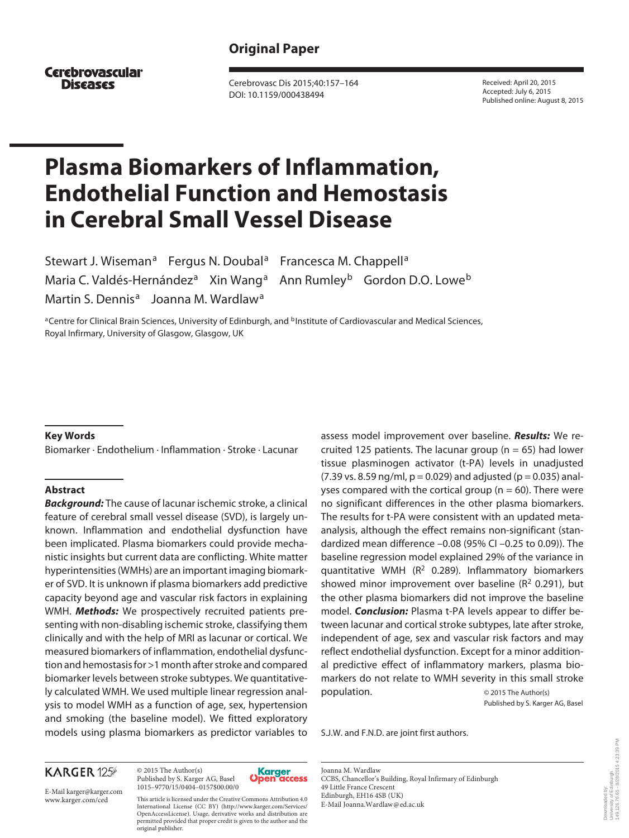## **Original Paper**

**Cerebrovascular Diseases** 

 Cerebrovasc Dis 2015;40:157–164 DOI: 10.1159/000438494

 Received: April 20, 2015 Accepted: July 6, 2015 Published online: August 8, 2015

# **Plasma Biomarkers of Inflammation, Endothelial Function and Hemostasis in Cerebral Small Vessel Disease**

Stewart J. Wiseman<sup>a</sup> Fergus N. Doubal<sup>a</sup> Francesca M. Chappell<sup>a</sup> Maria C. Valdés-Hernández<sup>a</sup> Xin Wang<sup>a</sup> Ann Rumley<sup>b</sup> Gordon D.O. Lowe<sup>b</sup> Martin S. Dennis<sup>a</sup> Joanna M. Wardlaw<sup>a</sup>

a Centre for Clinical Brain Sciences, University of Edinburgh, and <sup>b</sup>Institute of Cardiovascular and Medical Sciences, Royal Infirmary, University of Glasgow, Glasgow, UK

#### **Key Words**

Biomarker · Endothelium · Inflammation · Stroke · Lacunar

#### **Abstract**

*Background:* The cause of lacunar ischemic stroke, a clinical feature of cerebral small vessel disease (SVD), is largely unknown. Inflammation and endothelial dysfunction have been implicated. Plasma biomarkers could provide mechanistic insights but current data are conflicting. White matter hyperintensities (WMHs) are an important imaging biomarker of SVD. It is unknown if plasma biomarkers add predictive capacity beyond age and vascular risk factors in explaining WMH. *Methods:* We prospectively recruited patients presenting with non-disabling ischemic stroke, classifying them clinically and with the help of MRI as lacunar or cortical. We measured biomarkers of inflammation, endothelial dysfunction and hemostasis for >1 month after stroke and compared biomarker levels between stroke subtypes. We quantitatively calculated WMH. We used multiple linear regression analysis to model WMH as a function of age, sex, hypertension and smoking (the baseline model). We fitted exploratory models using plasma biomarkers as predictor variables to assess model improvement over baseline. *Results:* We recruited 125 patients. The lacunar group ( $n = 65$ ) had lower tissue plasminogen activator (t-PA) levels in unadjusted  $(7.39 \text{ vs. } 8.59 \text{ ng/ml}, p = 0.029)$  and adjusted ( $p = 0.035$ ) analyses compared with the cortical group ( $n = 60$ ). There were no significant differences in the other plasma biomarkers. The results for t-PA were consistent with an updated metaanalysis, although the effect remains non-significant (standardized mean difference –0.08 (95% CI –0.25 to 0.09)). The baseline regression model explained 29% of the variance in quantitative WMH ( $R<sup>2</sup>$  0.289). Inflammatory biomarkers showed minor improvement over baseline ( $R<sup>2</sup>$  0.291), but the other plasma biomarkers did not improve the baseline model. *Conclusion:* Plasma t-PA levels appear to differ between lacunar and cortical stroke subtypes, late after stroke, independent of age, sex and vascular risk factors and may reflect endothelial dysfunction. Except for a minor additional predictive effect of inflammatory markers, plasma biomarkers do not relate to WMH severity in this small stroke population. © 2015 The Author(s)

Published by S. Karger AG, Basel

S.J.W. and F.N.D. are joint first authors.

## **KARGER 125**

E-Mail karger@karger.com www.karger.com/ced

 © 2015 The Author(s) Published by S. Karger AG, Basel 1015–9770/15/0404–0157\$00.00/0

original publisher.

This article is licensed under the Creative Commons Attribution 4.0 International License (CC BY) (http://www.karger.com/Services/ OpenAccessLicense). Usage, derivative works and distribution are permitted provided that proper credit is given to the author and the



 Joanna M. Wardlaw CCBS, Chancellor's Building, Royal Infirmary of Edinburgh 49 Little France Crescent Edinburgh, EH16 4SB (UK) E-Mail Joanna.Wardlaw @ ed.ac.uk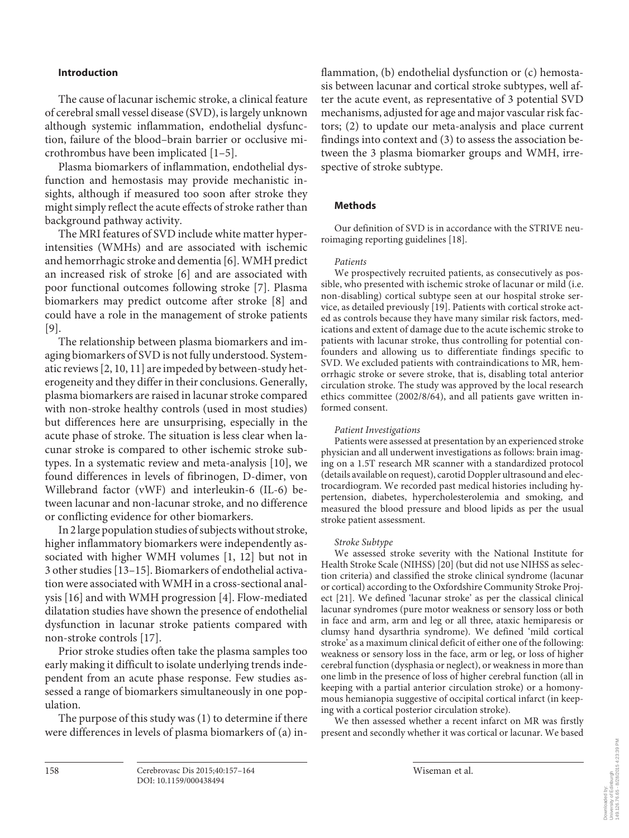## **Introduction**

 The cause of lacunar ischemic stroke, a clinical feature of cerebral small vessel disease (SVD), is largely unknown although systemic inflammation, endothelial dysfunction, failure of the blood–brain barrier or occlusive microthrombus have been implicated [1–5] .

 Plasma biomarkers of inflammation, endothelial dysfunction and hemostasis may provide mechanistic insights, although if measured too soon after stroke they might simply reflect the acute effects of stroke rather than background pathway activity.

 The MRI features of SVD include white matter hyperintensities (WMHs) and are associated with ischemic and hemorrhagic stroke and dementia [6] . WMH predict an increased risk of stroke [6] and are associated with poor functional outcomes following stroke [7]. Plasma biomarkers may predict outcome after stroke [8] and could have a role in the management of stroke patients  $[9]$ .

 The relationship between plasma biomarkers and imaging biomarkers of SVD is not fully understood. Systematic reviews [2, 10, 11] are impeded by between-study heterogeneity and they differ in their conclusions. Generally, plasma biomarkers are raised in lacunar stroke compared with non-stroke healthy controls (used in most studies) but differences here are unsurprising, especially in the acute phase of stroke. The situation is less clear when lacunar stroke is compared to other ischemic stroke subtypes. In a systematic review and meta-analysis [10], we found differences in levels of fibrinogen, D-dimer, von Willebrand factor (vWF) and interleukin-6 (IL-6) between lacunar and non-lacunar stroke, and no difference or conflicting evidence for other biomarkers.

 In 2 large population studies of subjects without stroke, higher inflammatory biomarkers were independently associated with higher WMH volumes [1, 12] but not in 3 other studies [13–15] . Biomarkers of endothelial activation were associated with WMH in a cross-sectional analysis [16] and with WMH progression [4] . Flow-mediated dilatation studies have shown the presence of endothelial dysfunction in lacunar stroke patients compared with non-stroke controls [17] .

 Prior stroke studies often take the plasma samples too early making it difficult to isolate underlying trends independent from an acute phase response. Few studies assessed a range of biomarkers simultaneously in one population.

 The purpose of this study was (1) to determine if there were differences in levels of plasma biomarkers of (a) inflammation, (b) endothelial dysfunction or (c) hemostasis between lacunar and cortical stroke subtypes, well after the acute event, as representative of 3 potential SVD mechanisms, adjusted for age and major vascular risk factors; (2) to update our meta-analysis and place current findings into context and (3) to assess the association between the 3 plasma biomarker groups and WMH, irrespective of stroke subtype.

#### **Methods**

 Our definition of SVD is in accordance with the STRIVE neuroimaging reporting guidelines [18] .

#### *Patients*

 We prospectively recruited patients, as consecutively as possible, who presented with ischemic stroke of lacunar or mild (i.e. non-disabling) cortical subtype seen at our hospital stroke service, as detailed previously [19] . Patients with cortical stroke acted as controls because they have many similar risk factors, medications and extent of damage due to the acute ischemic stroke to patients with lacunar stroke, thus controlling for potential confounders and allowing us to differentiate findings specific to SVD. We excluded patients with contraindications to MR, hemorrhagic stroke or severe stroke, that is, disabling total anterior circulation stroke. The study was approved by the local research ethics committee (2002/8/64), and all patients gave written informed consent.

#### *Patient Investigations*

 Patients were assessed at presentation by an experienced stroke physician and all underwent investigations as follows: brain imaging on a 1.5T research MR scanner with a standardized protocol (details available on request), carotid Doppler ultrasound and electrocardiogram. We recorded past medical histories including hypertension, diabetes, hypercholesterolemia and smoking, and measured the blood pressure and blood lipids as per the usual stroke patient assessment.

#### *Stroke Subtype*

 We assessed stroke severity with the National Institute for Health Stroke Scale (NIHSS) [20] (but did not use NIHSS as selection criteria) and classified the stroke clinical syndrome (lacunar or cortical) according to the Oxfordshire Community Stroke Project [21]. We defined 'lacunar stroke' as per the classical clinical lacunar syndromes (pure motor weakness or sensory loss or both in face and arm, arm and leg or all three, ataxic hemiparesis or clumsy hand dysarthria syndrome). We defined 'mild cortical stroke' as a maximum clinical deficit of either one of the following: weakness or sensory loss in the face, arm or leg, or loss of higher cerebral function (dysphasia or neglect), or weakness in more than one limb in the presence of loss of higher cerebral function (all in keeping with a partial anterior circulation stroke) or a homonymous hemianopia suggestive of occipital cortical infarct (in keeping with a cortical posterior circulation stroke).

 We then assessed whether a recent infarct on MR was firstly present and secondly whether it was cortical or lacunar. We based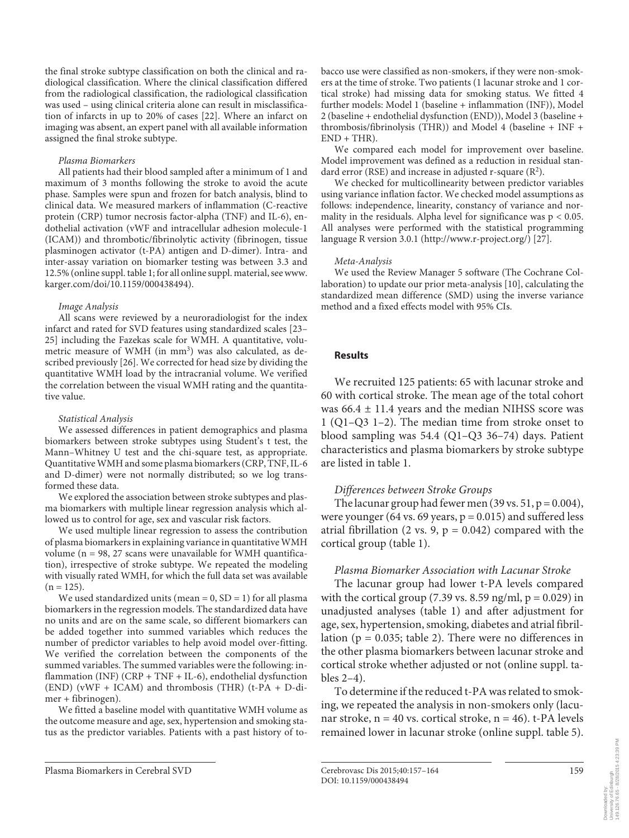the final stroke subtype classification on both the clinical and radiological classification. Where the clinical classification differed from the radiological classification, the radiological classification was used – using clinical criteria alone can result in misclassification of infarcts in up to 20% of cases [22] . Where an infarct on imaging was absent, an expert panel with all available information assigned the final stroke subtype.

#### *Plasma Biomarkers*

 All patients had their blood sampled after a minimum of 1 and maximum of 3 months following the stroke to avoid the acute phase. Samples were spun and frozen for batch analysis, blind to clinical data. We measured markers of inflammation (C-reactive protein (CRP) tumor necrosis factor-alpha (TNF) and IL-6), endothelial activation (vWF and intracellular adhesion molecule-1 (ICAM)) and thrombotic/fibrinolytic activity (fibrinogen, tissue plasminogen activator (t-PA) antigen and D-dimer). Intra- and inter-assay variation on biomarker testing was between 3.3 and 12.5% (online suppl. table 1; for all online suppl. material, see www. karger.com/doi/10.1159/000438494).

#### *Image Analysis*

 All scans were reviewed by a neuroradiologist for the index infarct and rated for SVD features using standardized scales [23– 25] including the Fazekas scale for WMH. A quantitative, volumetric measure of WMH (in mm<sup>3</sup>) was also calculated, as described previously [26]. We corrected for head size by dividing the quantitative WMH load by the intracranial volume. We verified the correlation between the visual WMH rating and the quantitative value.

#### *Statistical Analysis*

 We assessed differences in patient demographics and plasma biomarkers between stroke subtypes using Student's t test, the Mann–Whitney U test and the chi-square test, as appropriate. Quantitative WMH and some plasma biomarkers (CRP, TNF, IL-6 and D-dimer) were not normally distributed; so we log transformed these data.

 We explored the association between stroke subtypes and plasma biomarkers with multiple linear regression analysis which allowed us to control for age, sex and vascular risk factors.

 We used multiple linear regression to assess the contribution of plasma biomarkers in explaining variance in quantitative WMH volume (n = 98, 27 scans were unavailable for WMH quantification), irrespective of stroke subtype. We repeated the modeling with visually rated WMH, for which the full data set was available  $(n = 125)$ .

We used standardized units (mean =  $0$ , SD = 1) for all plasma biomarkers in the regression models. The standardized data have no units and are on the same scale, so different biomarkers can be added together into summed variables which reduces the number of predictor variables to help avoid model over-fitting. We verified the correlation between the components of the summed variables. The summed variables were the following: inflammation (INF) (CRP + TNF + IL-6), endothelial dysfunction (END) (vWF + ICAM) and thrombosis (THR) (t-PA + D-dimer + fibrinogen).

 We fitted a baseline model with quantitative WMH volume as the outcome measure and age, sex, hypertension and smoking status as the predictor variables. Patients with a past history of tobacco use were classified as non-smokers, if they were non-smokers at the time of stroke. Two patients (1 lacunar stroke and 1 cortical stroke) had missing data for smoking status. We fitted 4 further models: Model 1 (baseline + inflammation (INF)), Model 2 (baseline + endothelial dysfunction (END)), Model 3 (baseline + thrombosis/fibrinolysis (THR)) and Model 4 (baseline + INF +  $END + THR$ ).

 We compared each model for improvement over baseline. Model improvement was defined as a reduction in residual standard error (RSE) and increase in adjusted r-square  $(R^2)$ .

 We checked for multicollinearity between predictor variables using variance inflation factor. We checked model assumptions as follows: independence, linearity, constancy of variance and normality in the residuals. Alpha level for significance was  $p < 0.05$ . All analyses were performed with the statistical programming language R version 3.0.1 (http://www.r-project.org/) [27] .

#### *Meta-Analysis*

 We used the Review Manager 5 software (The Cochrane Collaboration) to update our prior meta-analysis [10], calculating the standardized mean difference (SMD) using the inverse variance method and a fixed effects model with 95% CIs.

#### **Results**

 We recruited 125 patients: 65 with lacunar stroke and 60 with cortical stroke. The mean age of the total cohort was  $66.4 \pm 11.4$  years and the median NIHSS score was 1 (Q1–Q3 1–2). The median time from stroke onset to blood sampling was 54.4 (Q1–Q3 36–74) days. Patient characteristics and plasma biomarkers by stroke subtype are listed in table 1.

#### *Differences between Stroke Groups*

The lacunar group had fewer men  $(39 \text{ vs. } 51, p = 0.004)$ , were younger (64 vs. 69 years,  $p = 0.015$ ) and suffered less atrial fibrillation (2 vs. 9,  $p = 0.042$ ) compared with the cortical group (table 1).

#### *Plasma Biomarker Association with Lacunar Stroke*

 The lacunar group had lower t-PA levels compared with the cortical group (7.39 vs. 8.59 ng/ml,  $p = 0.029$ ) in unadjusted analyses (table 1) and after adjustment for age, sex, hypertension, smoking, diabetes and atrial fibrillation ( $p = 0.035$ ; table 2). There were no differences in the other plasma biomarkers between lacunar stroke and cortical stroke whether adjusted or not (online suppl. tables 2–4).

 To determine if the reduced t-PA was related to smoking, we repeated the analysis in non-smokers only (lacunar stroke,  $n = 40$  vs. cortical stroke,  $n = 46$ ). t-PA levels remained lower in lacunar stroke (online suppl. table 5).

Plasma Biomarkers in Cerebral SVD Cerebrovasc Dis 2015;40:157–164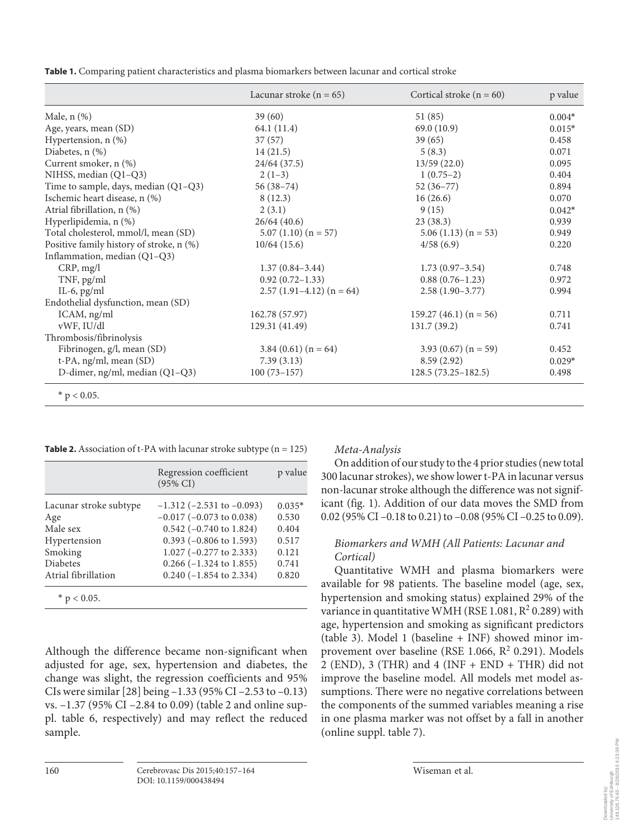**Table 1.** Comparing patient characteristics and plasma biomarkers between lacunar and cortical stroke

|                                          | Lacunar stroke $(n = 65)$ | Cortical stroke $(n = 60)$ | p value  |
|------------------------------------------|---------------------------|----------------------------|----------|
| Male, $n$ $(\%)$                         | 39(60)                    | 51(85)                     | $0.004*$ |
| Age, years, mean (SD)                    | 64.1 (11.4)               | 69.0(10.9)                 | $0.015*$ |
| Hypertension, n (%)                      | 37(57)                    | 39(65)                     | 0.458    |
| Diabetes, $n$ $(\%)$                     | 14(21.5)                  | 5(8.3)                     | 0.071    |
| Current smoker, n (%)                    | 24/64(37.5)               | 13/59(22.0)                | 0.095    |
| NIHSS, median (Q1-Q3)                    | $2(1-3)$                  | $1(0.75-2)$                | 0.404    |
| Time to sample, days, median (Q1-Q3)     | $56(38-74)$               | $52(36-77)$                | 0.894    |
| Ischemic heart disease, n (%)            | 8(12.3)                   | 16(26.6)                   | 0.070    |
| Atrial fibrillation, n (%)               | 2(3.1)                    | 9(15)                      | $0.042*$ |
| Hyperlipidemia, n (%)                    | 26/64(40.6)               | 23(38.3)                   | 0.939    |
| Total cholesterol, mmol/l, mean (SD)     | $5.07(1.10)(n = 57)$      | $5.06(1.13)(n = 53)$       | 0.949    |
| Positive family history of stroke, n (%) | 10/64(15.6)               | 4/58(6.9)                  | 0.220    |
| Inflammation, median (Q1-Q3)             |                           |                            |          |
| CRP, mg/l                                | $1.37(0.84 - 3.44)$       | $1.73(0.97-3.54)$          | 0.748    |
| TNF, pg/ml                               | $0.92(0.72 - 1.33)$       | $0.88(0.76-1.23)$          | 0.972    |
| IL-6, $pg/ml$                            | $2.57(1.91-4.12)(n=64)$   | $2.58(1.90-3.77)$          | 0.994    |
| Endothelial dysfunction, mean (SD)       |                           |                            |          |
| ICAM, ng/ml                              | 162.78 (57.97)            | 159.27 (46.1) $(n = 56)$   | 0.711    |
| vWF, IU/dl                               | 129.31 (41.49)            | 131.7(39.2)                | 0.741    |
| Thrombosis/fibrinolysis                  |                           |                            |          |
| Fibrinogen, g/l, mean (SD)               | $3.84(0.61)(n=64)$        | 3.93 $(0.67)$ (n = 59)     | 0.452    |
| t-PA, ng/ml, mean (SD)                   | 7.39(3.13)                | 8.59(2.92)                 | $0.029*$ |
| D-dimer, ng/ml, median (Q1-Q3)           | $100(73-157)$             | $128.5(73.25-182.5)$       | 0.498    |

 $*$  p < 0.05.

**Table 2.** Association of t-PA with lacunar stroke subtype  $(n = 125)$ 

|                        | Regression coefficient<br>$(95\% \text{ CI})$ | p value  |
|------------------------|-----------------------------------------------|----------|
| Lacunar stroke subtype | $-1.312$ ( $-2.531$ to $-0.093$ )             | $0.035*$ |
| Age                    | $-0.017$ ( $-0.073$ to 0.038)                 | 0.530    |
| Male sex               | $0.542$ (-0.740 to 1.824)                     | 0.404    |
| Hypertension           | $0.393$ (-0.806 to 1.593)                     | 0.517    |
| Smoking                | $1.027$ (-0.277 to 2.333)                     | 0.121    |
| <b>Diabetes</b>        | $0.266$ ( $-1.324$ to 1.855)                  | 0.741    |
| Atrial fibrillation    | $0.240$ (-1.854 to 2.334)                     | 0.820    |
| $*$ p < 0.05.          |                                               |          |

Although the difference became non-significant when adjusted for age, sex, hypertension and diabetes, the change was slight, the regression coefficients and 95% CIs were similar [28] being –1.33 (95% CI –2.53 to –0.13) vs. –1.37 (95% CI –2.84 to 0.09) ( table 2 and online suppl. table 6, respectively) and may reflect the reduced sample.

## *Meta-Analysis*

 On addition of our study to the 4 prior studies (new total 300 lacunar strokes), we show lower t-PA in lacunar versus non-lacunar stroke although the difference was not significant (fig. 1). Addition of our data moves the SMD from 0.02 (95% CI –0.18 to 0.21) to –0.08 (95% CI –0.25 to 0.09).

## *Biomarkers and WMH (All Patients: Lacunar and Cortical)*

 Quantitative WMH and plasma biomarkers were available for 98 patients. The baseline model (age, sex, hypertension and smoking status) explained 29% of the variance in quantitative WMH (RSE 1.081,  $R^2$  0.289) with age, hypertension and smoking as significant predictors (table 3). Model 1 (baseline  $+$  INF) showed minor improvement over baseline (RSE 1.066,  $R^2$  0.291). Models 2 (END), 3 (THR) and 4 (INF + END + THR) did not improve the baseline model. All models met model assumptions. There were no negative correlations between the components of the summed variables meaning a rise in one plasma marker was not offset by a fall in another (online suppl. table 7).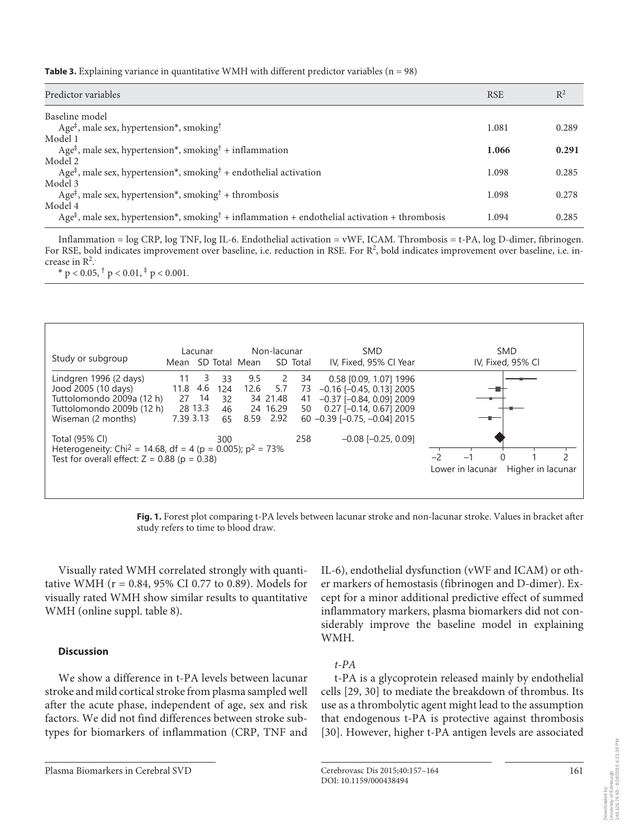**Table 3.** Explaining variance in quantitative WMH with different predictor variables (n = 98)

| Predictor variables                                                                                                        | <b>RSE</b> | $R^2$ |
|----------------------------------------------------------------------------------------------------------------------------|------------|-------|
| Baseline model                                                                                                             |            |       |
| Age <sup><math>\ddagger</math></sup> , male sex, hypertension <sup>*</sup> , smoking <sup>†</sup>                          | 1.081      | 0.289 |
| Model 1                                                                                                                    |            |       |
| Age <sup><math>\ddagger</math></sup> , male sex, hypertension <sup>*</sup> , smoking <sup>†</sup> + inflammation           | 1.066      | 0.291 |
| Model 2                                                                                                                    |            |       |
| Age <sup><math>\ddagger</math></sup> , male sex, hypertension <sup>*</sup> , smoking <sup>†</sup> + endothelial activation | 1.098      | 0.285 |
| Model 3                                                                                                                    |            |       |
| Age <sup><math>\ddagger</math></sup> , male sex, hypertension <sup>*</sup> , smoking <sup>†</sup> + thrombosis             | 1.098      | 0.278 |
| Model 4                                                                                                                    |            |       |
| $Age^{\ddagger}$ , male sex, hypertension*, smoking <sup>†</sup> + inflammation + endothelial activation + thrombosis      | 1.094      | 0.285 |
|                                                                                                                            |            |       |

 Inflammation = log CRP, log TNF, log IL-6. Endothelial activation = vWF, ICAM. Thrombosis = t-PA, log D-dimer, fibrinogen. For RSE, bold indicates improvement over baseline, i.e. reduction in RSE. For R<sup>2</sup>, bold indicates improvement over baseline, i.e. increase in  $\mathbb{R}^2$ .

 $*$  p < 0.05,  $\dagger$  p < 0.01,  $*$  p < 0.001.



**Fig. 1.** Forest plot comparing t-PA levels between lacunar stroke and non-lacunar stroke. Values in bracket after study refers to time to blood draw.

 Visually rated WMH correlated strongly with quantitative WMH ( $r = 0.84$ , 95% CI 0.77 to 0.89). Models for visually rated WMH show similar results to quantitative WMH (online suppl. table 8).

### **Discussion**

 We show a difference in t-PA levels between lacunar stroke and mild cortical stroke from plasma sampled well after the acute phase, independent of age, sex and risk factors. We did not find differences between stroke subtypes for biomarkers of inflammation (CRP, TNF and

Plasma Biomarkers in Cerebral SVD Cerebrovasc Dis 2015;40:157–164

IL-6), endothelial dysfunction (vWF and ICAM) or other markers of hemostasis (fibrinogen and D-dimer). Except for a minor additional predictive effect of summed inflammatory markers, plasma biomarkers did not considerably improve the baseline model in explaining WMH.

## *t-PA*

 t-PA is a glycoprotein released mainly by endothelial cells [29, 30] to mediate the breakdown of thrombus. Its use as a thrombolytic agent might lead to the assumption that endogenous t-PA is protective against thrombosis [30]. However, higher t-PA antigen levels are associated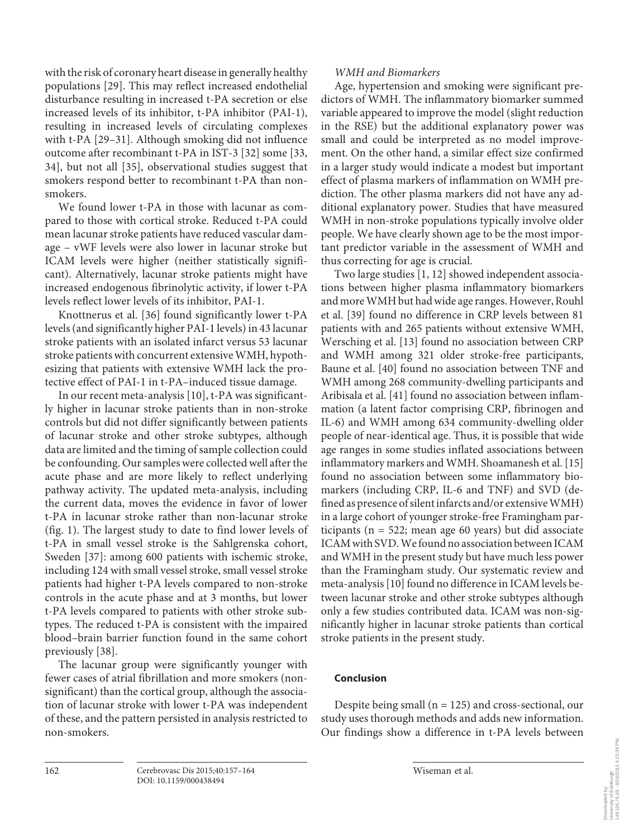with the risk of coronary heart disease in generally healthy populations [29]. This may reflect increased endothelial disturbance resulting in increased t-PA secretion or else increased levels of its inhibitor, t-PA inhibitor (PAI-1), resulting in increased levels of circulating complexes with t-PA [29-31]. Although smoking did not influence outcome after recombinant t-PA in IST-3 [32] some [33, 34], but not all [35], observational studies suggest that smokers respond better to recombinant t-PA than nonsmokers.

 We found lower t-PA in those with lacunar as compared to those with cortical stroke. Reduced t-PA could mean lacunar stroke patients have reduced vascular damage – vWF levels were also lower in lacunar stroke but ICAM levels were higher (neither statistically significant). Alternatively, lacunar stroke patients might have increased endogenous fibrinolytic activity, if lower t-PA levels reflect lower levels of its inhibitor, PAI-1.

 Knottnerus et al. [36] found significantly lower t-PA levels (and significantly higher PAI-1 levels) in 43 lacunar stroke patients with an isolated infarct versus 53 lacunar stroke patients with concurrent extensive WMH, hypothesizing that patients with extensive WMH lack the protective effect of PAI-1 in t-PA–induced tissue damage.

In our recent meta-analysis [10], t-PA was significantly higher in lacunar stroke patients than in non-stroke controls but did not differ significantly between patients of lacunar stroke and other stroke subtypes, although data are limited and the timing of sample collection could be confounding. Our samples were collected well after the acute phase and are more likely to reflect underlying pathway activity. The updated meta-analysis, including the current data, moves the evidence in favor of lower t-PA in lacunar stroke rather than non-lacunar stroke (fig. 1). The largest study to date to find lower levels of t-PA in small vessel stroke is the Sahlgrenska cohort, Sweden [37]: among 600 patients with ischemic stroke, including 124 with small vessel stroke, small vessel stroke patients had higher t-PA levels compared to non-stroke controls in the acute phase and at 3 months, but lower t-PA levels compared to patients with other stroke subtypes. The reduced t-PA is consistent with the impaired blood–brain barrier function found in the same cohort previously [38].

 The lacunar group were significantly younger with fewer cases of atrial fibrillation and more smokers (nonsignificant) than the cortical group, although the association of lacunar stroke with lower t-PA was independent of these, and the pattern persisted in analysis restricted to non-smokers.

## *WMH and Biomarkers*

 Age, hypertension and smoking were significant predictors of WMH. The inflammatory biomarker summed variable appeared to improve the model (slight reduction in the RSE) but the additional explanatory power was small and could be interpreted as no model improvement. On the other hand, a similar effect size confirmed in a larger study would indicate a modest but important effect of plasma markers of inflammation on WMH prediction. The other plasma markers did not have any additional explanatory power. Studies that have measured WMH in non-stroke populations typically involve older people. We have clearly shown age to be the most important predictor variable in the assessment of WMH and thus correcting for age is crucial.

 Two large studies [1, 12] showed independent associations between higher plasma inflammatory biomarkers and more WMH but had wide age ranges. However, Rouhl et al. [39] found no difference in CRP levels between 81 patients with and 265 patients without extensive WMH, Wersching et al. [13] found no association between CRP and WMH among 321 older stroke-free participants, Baune et al. [40] found no association between TNF and WMH among 268 community-dwelling participants and Aribisala et al. [41] found no association between inflammation (a latent factor comprising CRP, fibrinogen and IL-6) and WMH among 634 community-dwelling older people of near-identical age. Thus, it is possible that wide age ranges in some studies inflated associations between inflammatory markers and WMH. Shoamanesh et al. [15] found no association between some inflammatory biomarkers (including CRP, IL-6 and TNF) and SVD (defined as presence of silent infarcts and/or extensive WMH) in a large cohort of younger stroke-free Framingham participants ( $n = 522$ ; mean age 60 years) but did associate ICAM with SVD. We found no association between ICAM and WMH in the present study but have much less power than the Framingham study. Our systematic review and meta-analysis [10] found no difference in ICAM levels between lacunar stroke and other stroke subtypes although only a few studies contributed data. ICAM was non-significantly higher in lacunar stroke patients than cortical stroke patients in the present study.

## **Conclusion**

Despite being small ( $n = 125$ ) and cross-sectional, our study uses thorough methods and adds new information. Our findings show a difference in t-PA levels between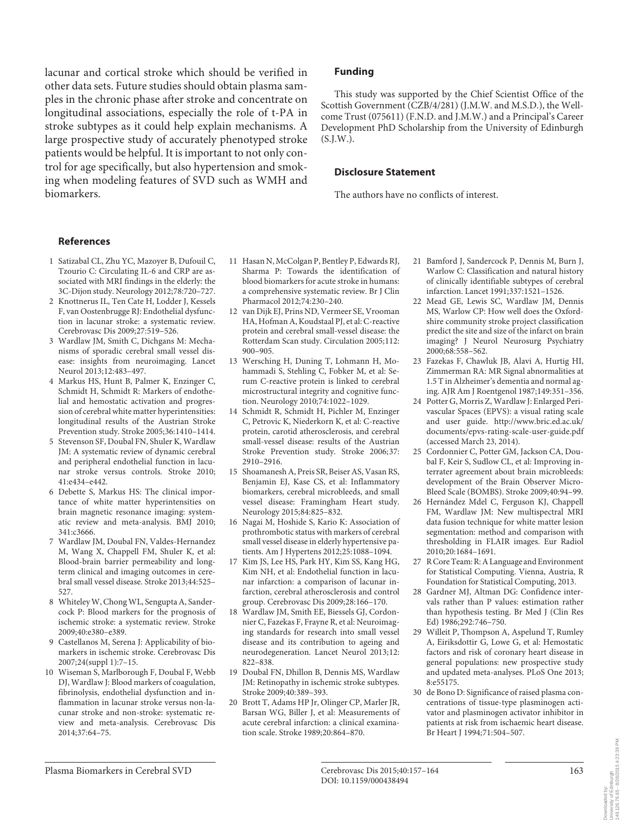lacunar and cortical stroke which should be verified in other data sets. Future studies should obtain plasma samples in the chronic phase after stroke and concentrate on longitudinal associations, especially the role of t-PA in stroke subtypes as it could help explain mechanisms. A large prospective study of accurately phenotyped stroke patients would be helpful. It is important to not only control for age specifically, but also hypertension and smoking when modeling features of SVD such as WMH and biomarkers.

#### **Funding**

 This study was supported by the Chief Scientist Office of the Scottish Government (CZB/4/281) (J.M.W. and M.S.D.), the Wellcome Trust (075611) (F.N.D. and J.M.W.) and a Principal's Career Development PhD Scholarship from the University of Edinburgh  $(S.I.W.)$ .

#### **Disclosure Statement**

The authors have no conflicts of interest.

#### **References**

- 1 Satizabal CL, Zhu YC, Mazoyer B, Dufouil C, Tzourio C: Circulating IL-6 and CRP are associated with MRI findings in the elderly: the 3C-Dijon study. Neurology 2012;78:720–727.
- 2 Knottnerus IL, Ten Cate H, Lodder J, Kessels F, van Oostenbrugge RJ: Endothelial dysfunction in lacunar stroke: a systematic review. Cerebrovasc Dis 2009;27:519–526.
- 3 Wardlaw JM, Smith C, Dichgans M: Mechanisms of sporadic cerebral small vessel disease: insights from neuroimaging. Lancet Neurol 2013;12:483–497.
- 4 Markus HS, Hunt B, Palmer K, Enzinger C, Schmidt H, Schmidt R: Markers of endothelial and hemostatic activation and progression of cerebral white matter hyperintensities: longitudinal results of the Austrian Stroke Prevention study. Stroke 2005;36:1410–1414.
- 5 Stevenson SF, Doubal FN, Shuler K, Wardlaw JM: A systematic review of dynamic cerebral and peripheral endothelial function in lacunar stroke versus controls. Stroke 2010; 41:e434–e442.
- 6 Debette S, Markus HS: The clinical importance of white matter hyperintensities on brain magnetic resonance imaging: systematic review and meta-analysis. BMJ 2010; 341:c3666.
- 7 Wardlaw JM, Doubal FN, Valdes-Hernandez M, Wang X, Chappell FM, Shuler K, et al: Blood-brain barrier permeability and longterm clinical and imaging outcomes in cerebral small vessel disease. Stroke 2013;44:525– 527.
- 8 Whiteley W, Chong WL, Sengupta A, Sandercock P: Blood markers for the prognosis of ischemic stroke: a systematic review. Stroke 2009;40:e380–e389.
- 9 Castellanos M, Serena J: Applicability of biomarkers in ischemic stroke. Cerebrovasc Dis 2007;24(suppl 1):7–15.
- 10 Wiseman S, Marlborough F, Doubal F, Webb DJ, Wardlaw J: Blood markers of coagulation, fibrinolysis, endothelial dysfunction and inflammation in lacunar stroke versus non-lacunar stroke and non-stroke: systematic review and meta-analysis. Cerebrovasc Dis 2014;37:64–75.
- 11 Hasan N, McColgan P, Bentley P, Edwards RJ, Sharma P: Towards the identification of blood biomarkers for acute stroke in humans: a comprehensive systematic review. Br J Clin Pharmacol 2012;74:230–240.
- 12 van Dijk EJ, Prins ND, Vermeer SE, Vrooman HA, Hofman A, Koudstaal PJ, et al: C-reactive protein and cerebral small-vessel disease: the Rotterdam Scan study. Circulation 2005;112: 900–905.
- 13 Wersching H, Duning T, Lohmann H, Mohammadi S, Stehling C, Fobker M, et al: Serum C-reactive protein is linked to cerebral microstructural integrity and cognitive function. Neurology 2010;74:1022–1029.
- 14 Schmidt R, Schmidt H, Pichler M, Enzinger C, Petrovic K, Niederkorn K, et al: C-reactive protein, carotid atherosclerosis, and cerebral small-vessel disease: results of the Austrian Stroke Prevention study. Stroke 2006; 37: 2910–2916.
- 15 Shoamanesh A, Preis SR, Beiser AS, Vasan RS, Benjamin EJ, Kase CS, et al: Inflammatory biomarkers, cerebral microbleeds, and small vessel disease: Framingham Heart study. Neurology 2015;84:825–832.
- 16 Nagai M, Hoshide S, Kario K: Association of prothrombotic status with markers of cerebral small vessel disease in elderly hypertensive patients. Am J Hypertens 2012;25:1088–1094.
- 17 Kim JS, Lee HS, Park HY, Kim SS, Kang HG, Kim NH, et al: Endothelial function in lacunar infarction: a comparison of lacunar infarction, cerebral atherosclerosis and control group. Cerebrovasc Dis 2009;28:166–170.
- 18 Wardlaw JM, Smith EE, Biessels GJ, Cordonnier C, Fazekas F, Frayne R, et al: Neuroimaging standards for research into small vessel disease and its contribution to ageing and neurodegeneration. Lancet Neurol 2013;12: 822–838.
- 19 Doubal FN, Dhillon B, Dennis MS, Wardlaw JM: Retinopathy in ischemic stroke subtypes. Stroke 2009;40:389–393.
- 20 Brott T, Adams HP Jr, Olinger CP, Marler JR, Barsan WG, Biller J, et al: Measurements of acute cerebral infarction: a clinical examination scale. Stroke 1989;20:864–870.
- 21 Bamford J, Sandercock P, Dennis M, Burn J, Warlow C: Classification and natural history of clinically identifiable subtypes of cerebral infarction. Lancet 1991;337:1521–1526.
- 22 Mead GE, Lewis SC, Wardlaw JM, Dennis MS, Warlow CP: How well does the Oxfordshire community stroke project classification predict the site and size of the infarct on brain imaging? J Neurol Neurosurg Psychiatry 2000;68:558–562.
- 23 Fazekas F, Chawluk JB, Alavi A, Hurtig HI, Zimmerman RA: MR Signal abnormalities at 1.5 T in Alzheimer's dementia and normal aging. AJR Am J Roentgenol 1987;149:351–356.
- 24 Potter G, Morris Z, Wardlaw J: Enlarged Perivascular Spaces (EPVS): a visual rating scale and user guide. http://www.bric.ed.ac.uk/ documents/epvs-rating-scale-user-guide.pdf (accessed March 23, 2014).
- 25 Cordonnier C, Potter GM, Jackson CA, Doubal F, Keir S, Sudlow CL, et al: Improving interrater agreement about brain microbleeds: development of the Brain Observer Micro-Bleed Scale (BOMBS). Stroke 2009;40:94–99.
- 26 Hernández Mdel C, Ferguson KJ, Chappell FM, Wardlaw JM: New multispectral MRI data fusion technique for white matter lesion segmentation: method and comparison with thresholding in FLAIR images. Eur Radiol 2010;20:1684–1691.
- 27 R Core Team: R: A Language and Environment for Statistical Computing. Vienna, Austria, R Foundation for Statistical Computing, 2013.
- 28 Gardner MJ, Altman DG: Confidence intervals rather than P values: estimation rather than hypothesis testing. Br Med J (Clin Res Ed) 1986;292:746–750.
- 29 Willeit P, Thompson A, Aspelund T, Rumley A, Eiriksdottir G, Lowe G, et al: Hemostatic factors and risk of coronary heart disease in general populations: new prospective study and updated meta-analyses. PLoS One 2013; 8:e55175.
- 30 de Bono D: Significance of raised plasma concentrations of tissue-type plasminogen activator and plasminogen activator inhibitor in patients at risk from ischaemic heart disease. Br Heart J 1994;71:504–507.